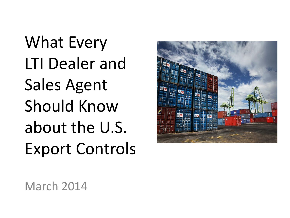What Every LTI Dealer and Sales Agent Should Know about the U.S. Export Controls



March 2014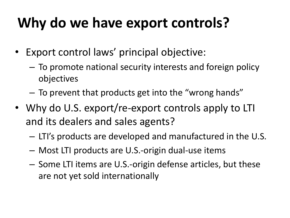### **Why do we have export controls?**

- Export control laws' principal objective:
	- To promote national security interests and foreign policy objectives
	- To prevent that products get into the "wrong hands"
- Why do U.S. export/re-export controls apply to LTI and its dealers and sales agents?
	- LTI's products are developed and manufactured in the U.S.
	- Most LTI products are U.S.-origin dual-use items
	- Some LTI items are U.S.-origin defense articles, but these are not yet sold internationally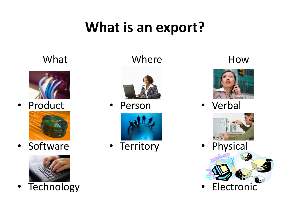### **What is an export?**

#### What



• Product



• Software



• Technology

#### Where



• Person



• Territory

#### How



• Verbal



• Physical



**Electronic**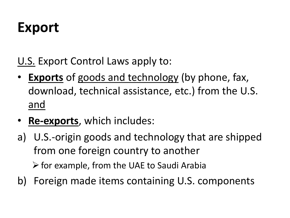#### **Export**

U.S. Export Control Laws apply to:

- **Exports** of goods and technology (by phone, fax, download, technical assistance, etc.) from the U.S. and
- **Re-exports**, which includes:
- a) U.S.-origin goods and technology that are shipped from one foreign country to another  $\triangleright$  for example, from the UAE to Saudi Arabia
- b) Foreign made items containing U.S. components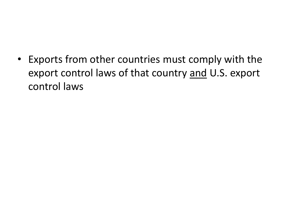• Exports from other countries must comply with the export control laws of that country and U.S. export control laws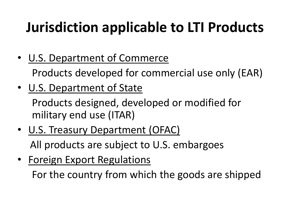# **Jurisdiction applicable to LTI Products**

• U.S. Department of Commerce

Products developed for commercial use only (EAR)

• U.S. Department of State

Products designed, developed or modified for military end use (ITAR)

- U.S. Treasury Department (OFAC) All products are subject to U.S. embargoes
- Foreign Export Regulations

For the country from which the goods are shipped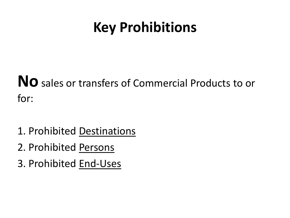#### **Key Prohibitions**

**No** sales or transfers of Commercial Products to or for:

- 1. Prohibited Destinations
- 2. Prohibited Persons
- 3. Prohibited End-Uses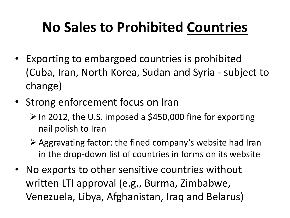# **No Sales to Prohibited Countries**

- Exporting to embargoed countries is prohibited (Cuba, Iran, North Korea, Sudan and Syria - subject to change)
- Strong enforcement focus on Iran
	- $\triangleright$  In 2012, the U.S. imposed a \$450,000 fine for exporting nail polish to Iran
	- $\triangleright$  Aggravating factor: the fined company's website had Iran in the drop-down list of countries in forms on its website
- No exports to other sensitive countries without written LTI approval (e.g., Burma, Zimbabwe, Venezuela, Libya, Afghanistan, Iraq and Belarus)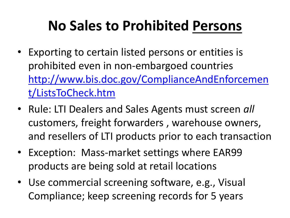### **No Sales to Prohibited Persons**

- Exporting to certain listed persons or entities is prohibited even in non-embargoed countries [http://www.bis.doc.gov/ComplianceAndEnforcemen](http://www.bis.doc.gov/ComplianceAndEnforcement/ListsToCheck.htm) [t/ListsToCheck.htm](http://www.bis.doc.gov/ComplianceAndEnforcement/ListsToCheck.htm)
- Rule: LTI Dealers and Sales Agents must screen *all* customers, freight forwarders , warehouse owners, and resellers of LTI products prior to each transaction
- Exception: Mass-market settings where EAR99 products are being sold at retail locations
- Use commercial screening software, e.g., Visual Compliance; keep screening records for 5 years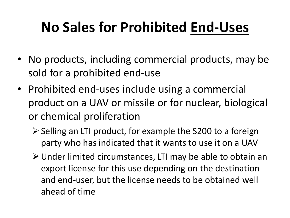# **No Sales for Prohibited End-Uses**

- No products, including commercial products, may be sold for a prohibited end-use
- Prohibited end-uses include using a commercial product on a UAV or missile or for nuclear, biological or chemical proliferation
	- $\triangleright$  Selling an LTI product, for example the S200 to a foreign party who has indicated that it wants to use it on a UAV
	- Under limited circumstances, LTI may be able to obtain an export license for this use depending on the destination and end-user, but the license needs to be obtained well ahead of time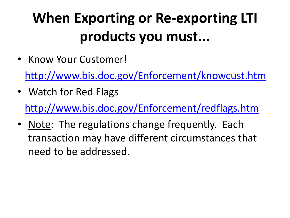# **When Exporting or Re-exporting LTI products you must...**

• Know Your Customer!

<http://www.bis.doc.gov/Enforcement/knowcust.htm>

- Watch for Red Flags <http://www.bis.doc.gov/Enforcement/redflags.htm>
- Note: The regulations change frequently. Each transaction may have different circumstances that need to be addressed.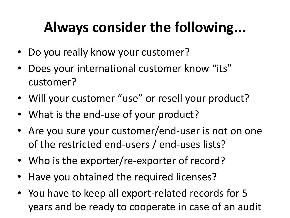# **Always consider the following...**

- Do you really know your customer?
- Does your international customer know "its" customer?
- Will your customer "use" or resell your product?
- What is the end-use of your product?
- Are you sure your customer/end-user is not on one of the restricted end-users / end-uses lists?
- Who is the exporter/re-exporter of record?
- Have you obtained the required licenses?
- You have to keep all export-related records for 5 years and be ready to cooperate in case of an audit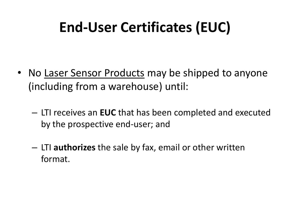## **End-User Certificates (EUC)**

- No Laser Sensor Products may be shipped to anyone (including from a warehouse) until:
	- LTI receives an **EUC** that has been completed and executed by the prospective end-user; and
	- LTI **authorizes** the sale by fax, email or other written format.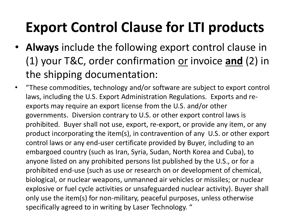## **Export Control Clause for LTI products**

- **Always** include the following export control clause in (1) your T&C, order confirmation or invoice **and** (2) in the shipping documentation:
- "These commodities, technology and/or software are subject to export control laws, including the U.S. Export Administration Regulations. Exports and reexports may require an export license from the U.S. and/or other governments. Diversion contrary to U.S. or other export control laws is prohibited. Buyer shall not use, export, re-export, or provide any item, or any product incorporating the item(s), in contravention of any U.S. or other export control laws or any end-user certificate provided by Buyer, including to an embargoed country (such as Iran, Syria, Sudan, North Korea and Cuba), to anyone listed on any prohibited persons list published by the U.S., or for a prohibited end-use (such as use or research on or development of chemical, biological, or nuclear weapons, unmanned air vehicles or missiles; or nuclear explosive or fuel cycle activities or unsafeguarded nuclear activity). Buyer shall only use the item(s) for non-military, peaceful purposes, unless otherwise specifically agreed to in writing by Laser Technology. "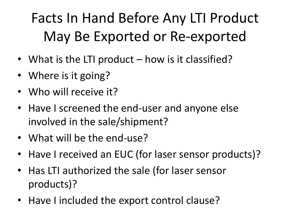# Facts In Hand Before Any LTI Product May Be Exported or Re-exported

- What is the LTI product how is it classified?
- Where is it going?
- Who will receive it?
- Have I screened the end-user and anyone else involved in the sale/shipment?
- What will be the end-use?
- Have I received an EUC (for laser sensor products)?
- Has LTI authorized the sale (for laser sensor products)?
- Have I included the export control clause?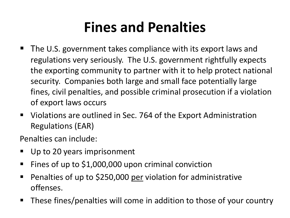#### **Fines and Penalties**

- The U.S. government takes compliance with its export laws and regulations very seriously. The U.S. government rightfully expects the exporting community to partner with it to help protect national security. Companies both large and small face potentially large fines, civil penalties, and possible criminal prosecution if a violation of export laws occurs
- Violations are outlined in Sec. 764 of the Export Administration Regulations (EAR)

Penalties can include:

- Up to 20 years imprisonment
- Fines of up to \$1,000,000 upon criminal conviction
- Penalties of up to \$250,000 per violation for administrative offenses.
- These fines/penalties will come in addition to those of your country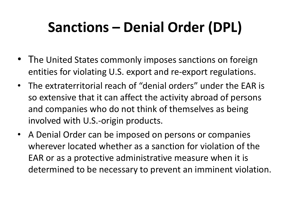# **Sanctions – Denial Order (DPL)**

- The United States commonly imposes sanctions on foreign entities for violating U.S. export and re-export regulations.
- The extraterritorial reach of "denial orders" under the EAR is so extensive that it can affect the activity abroad of persons and companies who do not think of themselves as being involved with U.S.-origin products.
- A Denial Order can be imposed on persons or companies wherever located whether as a sanction for violation of the EAR or as a protective administrative measure when it is determined to be necessary to prevent an imminent violation.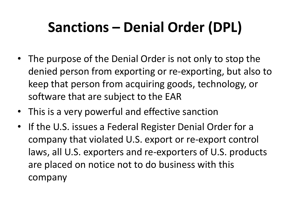# **Sanctions – Denial Order (DPL)**

- The purpose of the Denial Order is not only to stop the denied person from exporting or re-exporting, but also to keep that person from acquiring goods, technology, or software that are subject to the EAR
- This is a very powerful and effective sanction
- If the U.S. issues a Federal Register Denial Order for a company that violated U.S. export or re-export control laws, all U.S. exporters and re-exporters of U.S. products are placed on notice not to do business with this company